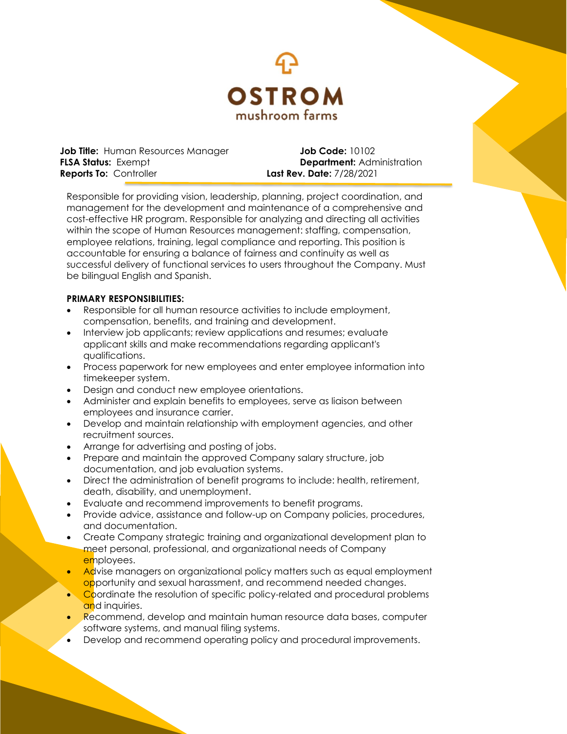

**Job Title:** Human Resources Manager **Job Code:** 10102 **FLSA Status: Exempt <b>Department:** Administration **Reports To:** Controller **Last Rev. Date:** 7/28/2021

Responsible for providing vision, leadership, planning, project coordination, and management for the development and maintenance of a comprehensive and cost-effective HR program. Responsible for analyzing and directing all activities within the scope of Human Resources management: staffing, compensation, employee relations, training, legal compliance and reporting. This position is accountable for ensuring a balance of fairness and continuity as well as successful delivery of functional services to users throughout the Company. Must be bilingual English and Spanish.

## **PRIMARY RESPONSIBILITIES:**

- Responsible for all human resource activities to include employment, compensation, benefits, and training and development.
- Interview job applicants; review applications and resumes; evaluate applicant skills and make recommendations regarding applicant's qualifications.
- Process paperwork for new employees and enter employee information into timekeeper system.
- Design and conduct new employee orientations.
- Administer and explain benefits to employees, serve as liaison between employees and insurance carrier.
- Develop and maintain relationship with employment agencies, and other recruitment sources.
- Arrange for advertising and posting of jobs.
- Prepare and maintain the approved Company salary structure, job documentation, and job evaluation systems.
- Direct the administration of benefit programs to include: health, retirement, death, disability, and unemployment.
- Evaluate and recommend improvements to benefit programs.
- Provide advice, assistance and follow-up on Company policies, procedures, and documentation.
- Create Company strategic training and organizational development plan to meet personal, professional, and organizational needs of Company employees.
- Advise managers on organizational policy matters such as equal employment opportunity and sexual harassment, and recommend needed changes.
- Coordinate the resolution of specific policy-related and procedural problems and inquiries.
- Recommend, develop and maintain human resource data bases, computer software systems, and manual filing systems.
- Develop and recommend operating policy and procedural improvements.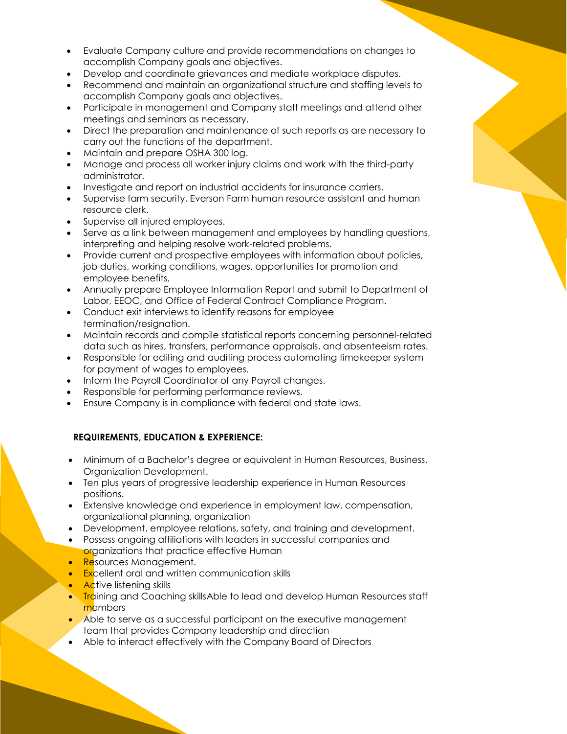- Evaluate Company culture and provide recommendations on changes to accomplish Company goals and objectives.
- Develop and coordinate grievances and mediate workplace disputes.
- Recommend and maintain an organizational structure and staffing levels to accomplish Company goals and objectives.
- Participate in management and Company staff meetings and attend other meetings and seminars as necessary.
- Direct the preparation and maintenance of such reports as are necessary to carry out the functions of the department.
- Maintain and prepare OSHA 300 log.
- Manage and process all worker injury claims and work with the third-party administrator.
- Investigate and report on industrial accidents for insurance carriers.
- Supervise farm security, Everson Farm human resource assistant and human resource clerk.
- Supervise all injured employees.
- Serve as a link between management and employees by handling questions, interpreting and helping resolve work-related problems.
- Provide current and prospective employees with information about policies, job duties, working conditions, wages, opportunities for promotion and employee benefits.
- Annually prepare Employee Information Report and submit to Department of Labor, EEOC, and Office of Federal Contract Compliance Program.
- Conduct exit interviews to identify reasons for employee termination/resignation.
- Maintain records and compile statistical reports concerning personnel-related data such as hires, transfers, performance appraisals, and absenteeism rates.
- Responsible for editing and auditing process automating timekeeper system for payment of wages to employees.
- Inform the Payroll Coordinator of any Payroll changes.
- Responsible for performing performance reviews.
- Ensure Company is in compliance with federal and state laws.

# **REQUIREMENTS, EDUCATION & EXPERIENCE:**

- Minimum of a Bachelor's degree or equivalent in Human Resources, Business, Organization Development.
- Ten plus years of progressive leadership experience in Human Resources positions.
- Extensive knowledge and experience in employment law, compensation, organizational planning, organization
- Development, employee relations, safety, and training and development.
- Possess ongoing affiliations with leaders in successful companies and organizations that practice effective Human
- Resources Management.
- **Excellent oral and written communication skills**
- **Active listening skills**
- **Training and Coaching skills Able to lead and develop Human Resources staff** members
- Able to serve as a successful participant on the executive management team that provides Company leadership and direction
- Able to interact effectively with the Company Board of Directors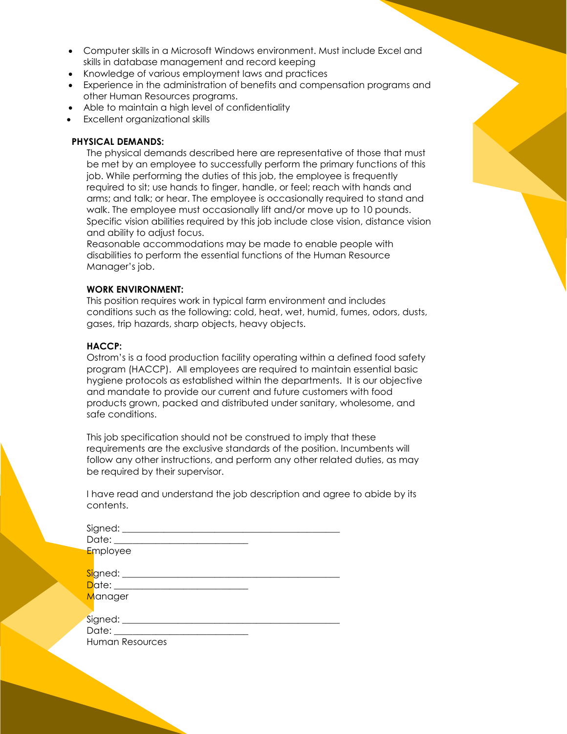- Computer skills in a Microsoft Windows environment. Must include Excel and skills in database management and record keeping
- Knowledge of various employment laws and practices
- Experience in the administration of benefits and compensation programs and other Human Resources programs.
- Able to maintain a high level of confidentiality
- Excellent organizational skills

#### **PHYSICAL DEMANDS:**

The physical demands described here are representative of those that must be met by an employee to successfully perform the primary functions of this job. While performing the duties of this job, the employee is frequently required to sit; use hands to finger, handle, or feel; reach with hands and arms; and talk; or hear. The employee is occasionally required to stand and walk. The employee must occasionally lift and/or move up to 10 pounds. Specific vision abilities required by this job include close vision, distance vision and ability to adjust focus.

Reasonable accommodations may be made to enable people with disabilities to perform the essential functions of the Human Resource Manager's job.

#### **WORK ENVIRONMENT:**

This position requires work in typical farm environment and includes conditions such as the following: cold, heat, wet, humid, fumes, odors, dusts, gases, trip hazards, sharp objects, heavy objects.

### **HACCP:**

Ostrom's is a food production facility operating within a defined food safety program (HACCP). All employees are required to maintain essential basic hygiene protocols as established within the departments. It is our objective and mandate to provide our current and future customers with food products grown, packed and distributed under sanitary, wholesome, and safe conditions.

This job specification should not be construed to imply that these requirements are the exclusive standards of the position. Incumbents will follow any other instructions, and perform any other related duties, as may be required by their supervisor.

I have read and understand the job description and agree to abide by its contents.

| Date: ______                           |  |
|----------------------------------------|--|
| Employee                               |  |
| <mark>Si</mark> gned: ________________ |  |
| Date: _________________________        |  |
| Manager                                |  |
|                                        |  |
| Signed: ___________                    |  |
| Date: _________                        |  |
| <b>Human Resources</b>                 |  |